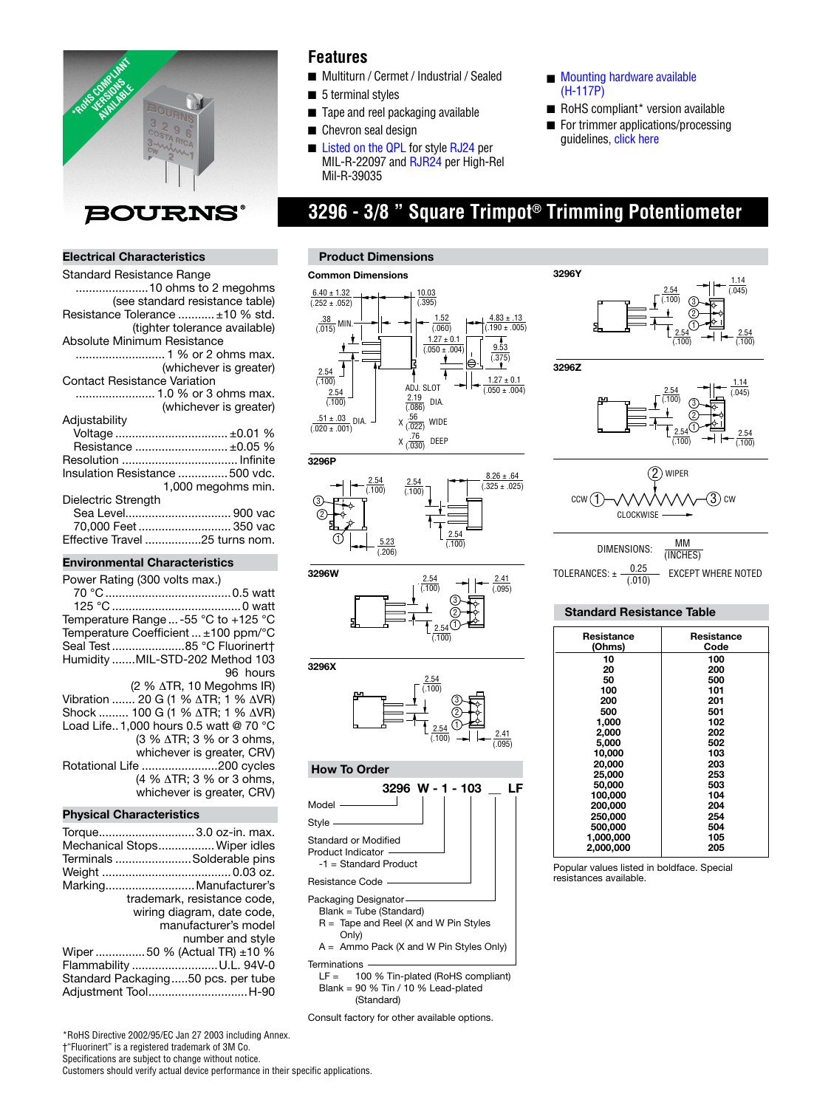

#### **Electrical Characteristics**

| Standard Resistance Range           |
|-------------------------------------|
| 10 ohms to 2 megohms                |
| (see standard resistance table)     |
| Resistance Tolerance  ±10 % std.    |
| (tighter tolerance available)       |
| Absolute Minimum Resistance         |
| 1 % or 2 ohms max.                  |
| (whichever is greater)              |
| <b>Contact Resistance Variation</b> |
| 1.0 % or 3 ohms max.                |
| (whichever is greater)              |
| Adjustability                       |
|                                     |
| Resistance  ±0.05 %                 |
|                                     |
| Insulation Resistance  500 vdc.     |
| 1,000 megohms min.                  |
| Dielectric Strength                 |
| Sea Level 900 vac                   |
| 70,000 Feet  350 vac                |
| Effective Travel 25 turns nom.      |
|                                     |

#### **Environmental Characteristics**

| Power Rating (300 volts max.)                                       |
|---------------------------------------------------------------------|
|                                                                     |
| Temperature Range  -55 °C to +125 °C                                |
| Temperature Coefficient  ±100 ppm/°C<br>Seal Test 85 °C Fluorinert+ |
| Humidity MIL-STD-202 Method 103                                     |
| 96 hours                                                            |
| $(2 % \triangle TR, 10 Megohn S IR)$                                |
| Vibration  20 G (1 % ΔTR; 1 % ΔVR)                                  |
| Shock  100 G (1 % ∆TR; 1 % ∆VR)                                     |
| Load Life. 1.000 hours 0.5 watt @ 70 °C                             |
| (3 % ∆TR; 3 % or 3 ohms,                                            |
| whichever is greater, CRV)                                          |
| Rotational Life 200 cycles                                          |
| (4 % $\triangle$ TR; 3 % or 3 ohms,                                 |
| whichever is greater, CRV)                                          |
|                                                                     |

#### **Physical Characteristics**

| Torque 3.0 oz-in. max.<br>Mechanical Stops Wiper idles<br>Terminals Solderable pins |
|-------------------------------------------------------------------------------------|
|                                                                                     |
| Marking Manufacturer's                                                              |
| trademark, resistance code,                                                         |
| wiring diagram, date code,                                                          |
| manufacturer's model                                                                |
| number and style                                                                    |
| Wiper 50 % (Actual TR) $\pm$ 10 %                                                   |
| Flammability U.L. 94V-0                                                             |
| Standard Packaging50 pcs. per tube<br>Adjustment ToolH-90                           |

### **Features**

- Multiturn / Cermet / Industrial / Sealed
- 5 terminal styles
- Tape and reel packaging available
- Chevron seal design
- [Listed on the QPL](http://www.bourns.com/data/global/pdfs/qualified_parts_numbers.pdf) [for style RJ24 p](http://www.bourns.com/data/global/pdfs/RJ24RJR24.pdf)er MIL-R-22097 and RJR24 per High-Rel Mil-R-39035

**3296Y**

#### **Product Dimensions**

#### **Common Dimensions**  $6.40 \pm 1.32$ 10.03  $(395)$  $(0.252 \pm 0.052)$ 1.52 4.83 ± .13  $\frac{.38}{(.015)}$ MIN. (.060)  $(.190 \pm .005)$  $1.27 \pm 0.1$ 9.53  $(0.050 \pm 0.004)$  $(375)$  $\overline{a}$ 7  $\frac{2.54}{(.100)}$  $1.27 \pm 0.1$ ADJ. SLOT  $0.050 \pm 0.004$  $\frac{2.54}{(.100)}$  $\frac{2.19}{(.086)}$ DIA.  $.51 \pm .03$ DIA.  $x \frac{.56}{.022}$  wide  $(0.020 \pm 0.001)$ X (.030) DEEP **3296P**







### **How To Order**



 Blank = 90 % Tin / 10 % Lead-plated (Standard)

Consult factory for other available options.

- Mounting hardware available (H-117P)
- RoHS compliant\* version available
- For trimmer applications/processing guidelines[, click here](http://www.bourns.com/data/global/pdfs/ap_proc.pdf)

3

2.54 (.100)  $\frac{1.14}{(.045)}$ 

# **3296 - 3/8 " Square Trimpot® Trimming Potentiometer**



| Resistance | Resistance |
|------------|------------|
| (Ohms)     | Code       |
| 10         | 100        |
| 20         | 200        |
| 50         | 500        |
| 100        | 101        |
| 200        | 201        |
| 500        | 501        |
| 1.000      | 102        |
| 2.000      | 202        |
| 5.000      | 502        |
| 10.000     | 103        |
| 20.000     | 203        |
| 25.000     | 253        |
| 50,000     | 503        |
| 100.000    | 104        |
| 200,000    | 204        |
| 250.000    | 254        |
| 500,000    | 504        |
| 1,000,000  | 105        |
| 2.000.000  | 205        |

Popular values listed in boldface. Special resistances available.

\*RoHS Directive 2002/95/EC Jan 27 2003 including Annex. †"Fluorinert" is a registered trademark of 3M Co. Specifications are subject to change without notice. Customers should verify actual device performance in their specific applications.